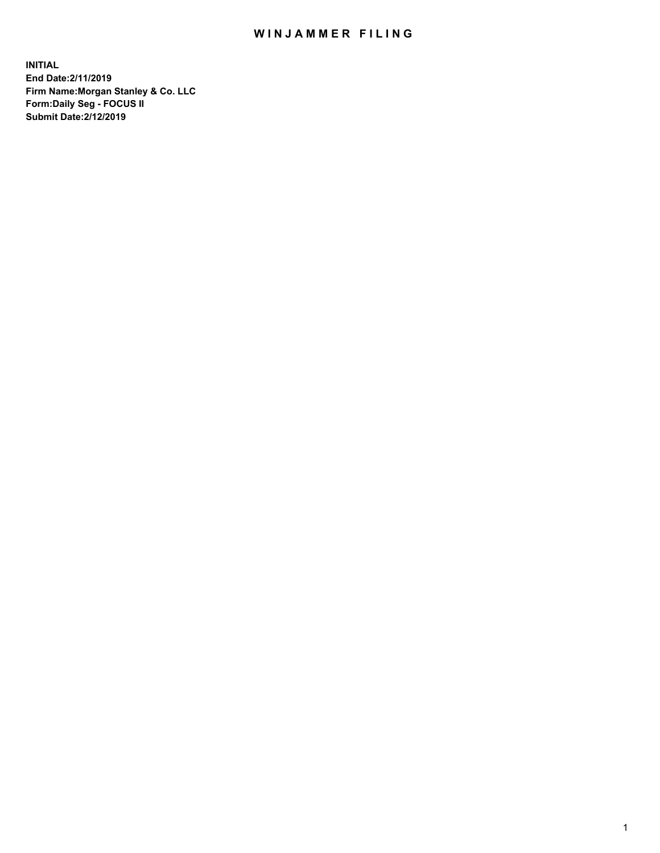## WIN JAMMER FILING

**INITIAL End Date:2/11/2019 Firm Name:Morgan Stanley & Co. LLC Form:Daily Seg - FOCUS II Submit Date:2/12/2019**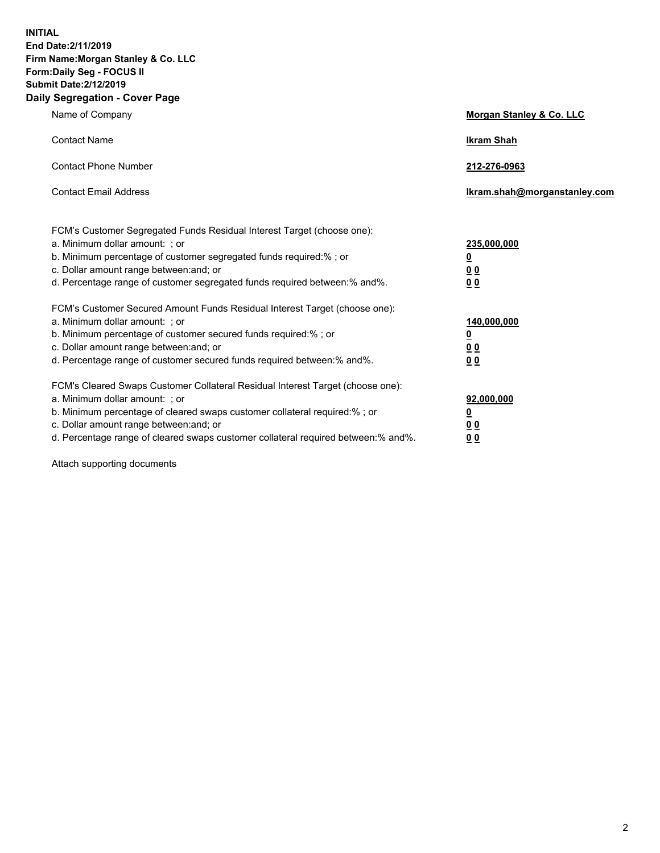**INITIAL End Date:2/11/2019 Firm Name:Morgan Stanley & Co. LLC Form:Daily Seg - FOCUS II Submit Date:2/12/2019 Daily Segregation - Cover Page**

| Name of Company                                                                   | Morgan Stanley & Co. LLC     |
|-----------------------------------------------------------------------------------|------------------------------|
| <b>Contact Name</b>                                                               | <b>Ikram Shah</b>            |
| <b>Contact Phone Number</b>                                                       | 212-276-0963                 |
| <b>Contact Email Address</b>                                                      | Ikram.shah@morganstanley.com |
| FCM's Customer Segregated Funds Residual Interest Target (choose one):            |                              |
| a. Minimum dollar amount: ; or                                                    | 235,000,000                  |
| b. Minimum percentage of customer segregated funds required:% ; or                | <u>0</u>                     |
| c. Dollar amount range between: and; or                                           | <u>0 0</u>                   |
| d. Percentage range of customer segregated funds required between: % and %.       | 00                           |
| FCM's Customer Secured Amount Funds Residual Interest Target (choose one):        |                              |
| a. Minimum dollar amount: ; or                                                    | 140,000,000                  |
| b. Minimum percentage of customer secured funds required:%; or                    | <u>0</u>                     |
| c. Dollar amount range between: and; or                                           | 0 <sub>0</sub>               |
| d. Percentage range of customer secured funds required between:% and%.            | 0 <sub>0</sub>               |
| FCM's Cleared Swaps Customer Collateral Residual Interest Target (choose one):    |                              |
| a. Minimum dollar amount: ; or                                                    | 92,000,000                   |
| b. Minimum percentage of cleared swaps customer collateral required:% ; or        | <u>0</u>                     |
| c. Dollar amount range between: and; or                                           | 0 Q                          |
| d. Percentage range of cleared swaps customer collateral required between:% and%. | 00                           |

Attach supporting documents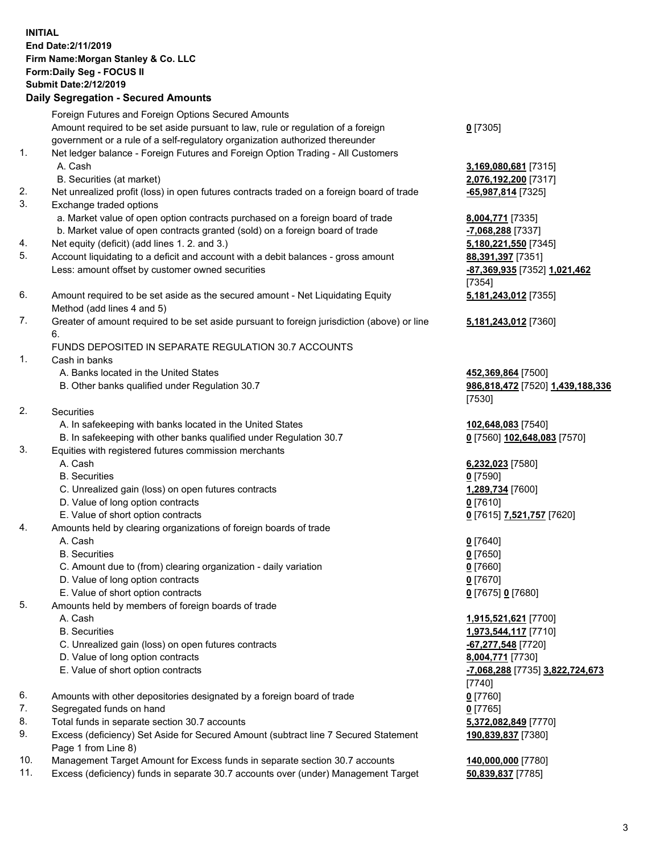## **INITIAL End Date:2/11/2019 Firm Name:Morgan Stanley & Co. LLC Form:Daily Seg - FOCUS II Submit Date:2/12/2019 Daily Segregation - Secured Amounts**

Foreign Futures and Foreign Options Secured Amounts Amount required to be set aside pursuant to law, rule or regulation of a foreign

- government or a rule of a self-regulatory organization authorized thereunder
- 1. Net ledger balance Foreign Futures and Foreign Option Trading All Customers A. Cash **3,169,080,681** [7315]
	- B. Securities (at market) **2,076,192,200** [7317]
- 2. Net unrealized profit (loss) in open futures contracts traded on a foreign board of trade **-65,987,814** [7325]
- 3. Exchange traded options
	- a. Market value of open option contracts purchased on a foreign board of trade **8,004,771** [7335]
	- b. Market value of open contracts granted (sold) on a foreign board of trade **-7,068,288** [7337]
- 4. Net equity (deficit) (add lines 1. 2. and 3.) **5,180,221,550** [7345]
- 5. Account liquidating to a deficit and account with a debit balances gross amount **88,391,397** [7351] Less: amount offset by customer owned securities **-87,369,935** [7352] **1,021,462**
- 6. Amount required to be set aside as the secured amount Net Liquidating Equity Method (add lines 4 and 5)
- 7. Greater of amount required to be set aside pursuant to foreign jurisdiction (above) or line 6.

## FUNDS DEPOSITED IN SEPARATE REGULATION 30.7 ACCOUNTS

- 1. Cash in banks
	- A. Banks located in the United States **452,369,864** [7500]
	- B. Other banks qualified under Regulation 30.7 **986,818,472** [7520] **1,439,188,336**
- 2. Securities
	- A. In safekeeping with banks located in the United States **102,648,083** [7540]
	- B. In safekeeping with other banks qualified under Regulation 30.7 **0** [7560] **102,648,083** [7570]
- 3. Equities with registered futures commission merchants
	-
	- B. Securities **0** [7590]
	- C. Unrealized gain (loss) on open futures contracts **1,289,734** [7600]
	- D. Value of long option contracts **0** [7610]
- E. Value of short option contracts **0** [7615] **7,521,757** [7620]
- 4. Amounts held by clearing organizations of foreign boards of trade
	- A. Cash **0** [7640]
	- B. Securities **0** [7650]
	- C. Amount due to (from) clearing organization daily variation **0** [7660]
	- D. Value of long option contracts **0** [7670]
	- E. Value of short option contracts **0** [7675] **0** [7680]
- 5. Amounts held by members of foreign boards of trade
	-
	-
	- C. Unrealized gain (loss) on open futures contracts **-67,277,548** [7720]
	- D. Value of long option contracts **8,004,771** [7730]
	- E. Value of short option contracts **-7,068,288** [7735] **3,822,724,673**
- 6. Amounts with other depositories designated by a foreign board of trade **0** [7760]
- 7. Segregated funds on hand **0** [7765]
- 8. Total funds in separate section 30.7 accounts **5,372,082,849** [7770]
- 9. Excess (deficiency) Set Aside for Secured Amount (subtract line 7 Secured Statement Page 1 from Line 8)
- 10. Management Target Amount for Excess funds in separate section 30.7 accounts **140,000,000** [7780]
- 11. Excess (deficiency) funds in separate 30.7 accounts over (under) Management Target **50,839,837** [7785]

**0** [7305]

[7354] **5,181,243,012** [7355]

**5,181,243,012** [7360]

[7530]

A. Cash **6,232,023** [7580]

 A. Cash **1,915,521,621** [7700] B. Securities **1,973,544,117** [7710] [7740] **190,839,837** [7380]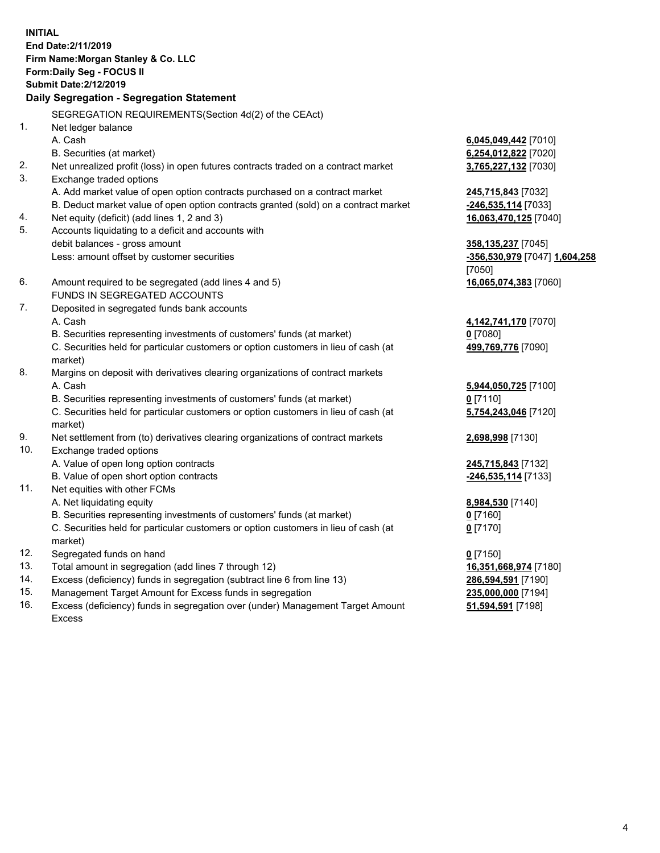**INITIAL End Date:2/11/2019 Firm Name:Morgan Stanley & Co. LLC Form:Daily Seg - FOCUS II Submit Date:2/12/2019 Daily Segregation - Segregation Statement** SEGREGATION REQUIREMENTS(Section 4d(2) of the CEAct) 1. Net ledger balance A. Cash **6,045,049,442** [7010] B. Securities (at market) **6,254,012,822** [7020] 2. Net unrealized profit (loss) in open futures contracts traded on a contract market **3,765,227,132** [7030] 3. Exchange traded options A. Add market value of open option contracts purchased on a contract market **245,715,843** [7032] B. Deduct market value of open option contracts granted (sold) on a contract market **-246,535,114** [7033] 4. Net equity (deficit) (add lines 1, 2 and 3) **16,063,470,125** [7040] 5. Accounts liquidating to a deficit and accounts with debit balances - gross amount **358,135,237** [7045] Less: amount offset by customer securities **-356,530,979** [7047] **1,604,258** [7050] 6. Amount required to be segregated (add lines 4 and 5) **16,065,074,383** [7060] FUNDS IN SEGREGATED ACCOUNTS 7. Deposited in segregated funds bank accounts A. Cash **4,142,741,170** [7070] B. Securities representing investments of customers' funds (at market) **0** [7080] C. Securities held for particular customers or option customers in lieu of cash (at market) **499,769,776** [7090] 8. Margins on deposit with derivatives clearing organizations of contract markets A. Cash **5,944,050,725** [7100] B. Securities representing investments of customers' funds (at market) **0** [7110] C. Securities held for particular customers or option customers in lieu of cash (at market) **5,754,243,046** [7120] 9. Net settlement from (to) derivatives clearing organizations of contract markets **2,698,998** [7130] 10. Exchange traded options A. Value of open long option contracts **245,715,843** [7132] B. Value of open short option contracts **-246,535,114** [7133] 11. Net equities with other FCMs A. Net liquidating equity **8,984,530** [7140] B. Securities representing investments of customers' funds (at market) **0** [7160] C. Securities held for particular customers or option customers in lieu of cash (at market) **0** [7170] 12. Segregated funds on hand **0** [7150] 13. Total amount in segregation (add lines 7 through 12) **16,351,668,974** [7180] 14. Excess (deficiency) funds in segregation (subtract line 6 from line 13) **286,594,591** [7190]

- 15. Management Target Amount for Excess funds in segregation **235,000,000** [7194]
- 16. Excess (deficiency) funds in segregation over (under) Management Target Amount Excess

**51,594,591** [7198]